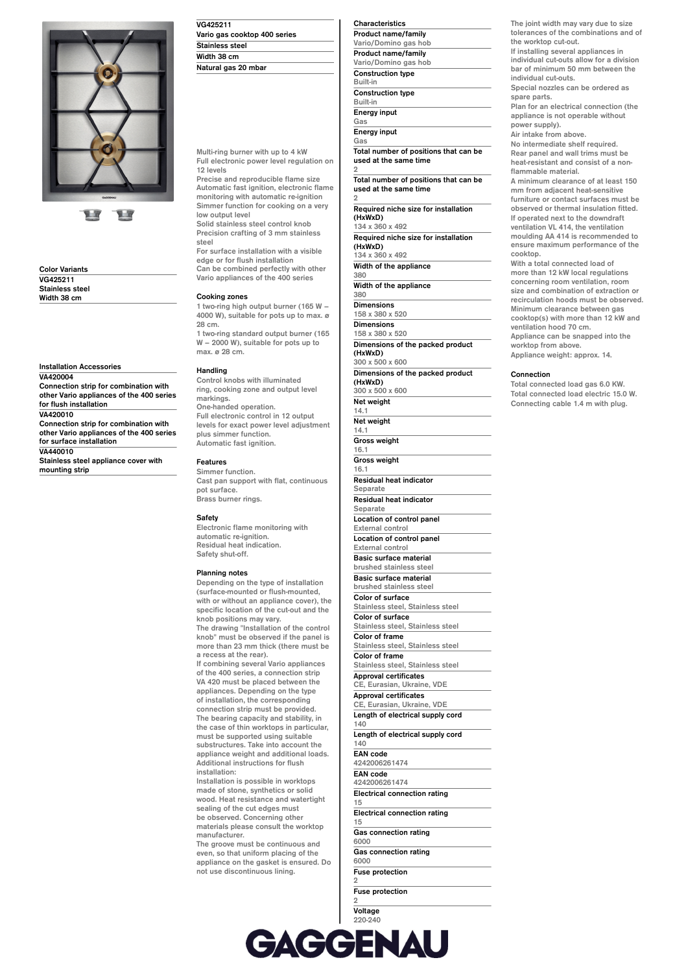

**Color Variants VG425211 Stainless steel Width 38 cm**

**Installation Accessories VA420004**

**Connection strip for combination with other Vario appliances of the 400 series for flush installation VA420010 Connection strip for combination with other Vario appliances of the 400 series for surface installation VA440010**

**Stainless steel appliance cover with mounting strip**

| VG425211                     |  |
|------------------------------|--|
| Vario gas cooktop 400 series |  |
| <b>Stainless steel</b>       |  |
| Width 38 cm                  |  |
| Natural gas 20 mbar          |  |

**Multi-ring burner with up to 4 kW Full electronic power level regulation on 12 levels**

**Precise and reproducible flame size Automatic fast ignition, electronic flame monitoring with automatic re-ignition Simmer function for cooking on a very low output level**

**Solid stainless steel control knob Precision crafting of 3 mm stainless steel**

**For surface installation with a visible edge or for flush installation Can be combined perfectly with other**

**Vario appliances of the 400 series**

# **Cooking zones**

**1 two-ring high output burner (165 W – 4000 W), suitable for pots up to max. ø 28 cm.**

**1 two-ring standard output burner (165 W – 2000 W), suitable for pots up to max. ø 28 cm.**

### **Handling**

**Control knobs with illuminated ring, cooking zone and output level markings. One-handed operation. Full electronic control in 12 output levels for exact power level adjustment plus simmer function. Automatic fast ignition.**

### **Features**

**Simmer function. Cast pan support with flat, continuous pot surface. Brass burner rings.**

# **Safety**

**Electronic flame monitoring with automatic re-ignition. Residual heat indication. Safety shut-off.**

#### **Planning notes**

**Depending on the type of installation (surface-mounted or flush-mounted, with or without an appliance cover), the specific location of the cut-out and the knob positions may vary. The drawing "Installation of the control knob" must be observed if the panel is more than 23 mm thick (there must be a recess at the rear).**

**If combining several Vario appliances of the 400 series, a connection strip VA 420 must be placed between the appliances. Depending on the type of installation, the corresponding connection strip must be provided. The bearing capacity and stability, in the case of thin worktops in particular, must be supported using suitable substructures. Take into account the appliance weight and additional loads. Additional instructions for flush installation:**

**Installation is possible in worktops made of stone, synthetics or solid wood. Heat resistance and watertight sealing of the cut edges must be observed. Concerning other materials please consult the worktop manufacturer.**

**The groove must be continuous and even, so that uniform placing of the appliance on the gasket is ensured. Do not use discontinuous lining.**

**Characteristics Product name/family Vario/Domino gas hob Product name/family Vario/Domino gas hob Construction type Built-in Construction type Built-in Energy input Gas Energy input**

**Gas**

**Total number of positions that can be used at the same time 2**

**Total number of positions that can be used at the same time 2**

**Required niche size for installation (HxWxD) 134 x 360 x 492**

**Required niche size for installation (HxWxD) 134 x 360 x 492**

**Width of the appliance 380**

**Width of the appliance**

**380 Dimensions**

**158 x 380 x 520 Dimensions**

**158 x 380 x 520 Dimensions of the packed product**

**(HxWxD) 300 x 500 x 600**

**Dimensions of the packed product (HxWxD)**

**300 x 500 x 600 Net weight 14.1 Net weight 14.1 Gross weight 16.1 Gross weight 16.1**

**Residual heat indicator**

**Separate**

**Residual heat indicator Separate**

**Location of control panel External control** 

**Location of control panel External control**

**Basic surface material brushed stainless steel Basic surface material brushed stainless steel Color of surface Stainless steel, Stainless steel**

**Color of surface Stainless steel, Stainless steel Color of frame**

**Stainless steel, Stainless steel Color of frame**

**Stainless steel, Stainless steel**

**Approval certificates CE, Eurasian, Ukraine, VDE**

**Approval certificates CE, Eurasian, Ukraine, VDE Length of electrical supply cord**

**140 Length of electrical supply cord**

**140 EAN code**

**4242006261474 EAN code**

**4242006261474 Electrical connection rating**

**15 Electrical connection rating**

**15 Gas connection rating**

**6000**

**Gas connection rating 6000 Fuse protection**

**2**

**Fuse protection 2**

**Voltage 220-240**

**Voltage 220-240 Frequency 60; 50**

**The joint width may vary due to size tolerances of the combinations and of the worktop cut-out.**

**If installing several appliances in individual cut-outs allow for a division bar of minimum 50 mm between the individual cut-outs. Special nozzles can be ordered as**

**spare parts.**

**Plan for an electrical connection (the appliance is not operable without power supply).**

**Air intake from above.**

**No intermediate shelf required. Rear panel and wall trims must be heat-resistant and consist of a nonflammable material.**

**A minimum clearance of at least 150 mm from adjacent heat-sensitive furniture or contact surfaces must be observed or thermal insulation fitted. If operated next to the downdraft ventilation VL 414, the ventilation moulding AA 414 is recommended to ensure maximum performance of the cooktop.**

**With a total connected load of more than 12 kW local regulations concerning room ventilation, room size and combination of extraction or recirculation hoods must be observed. Minimum clearance between gas cooktop(s) with more than 12 kW and ventilation hood 70 cm. Appliance can be snapped into the worktop from above. Appliance weight: approx. 14.**

**Connection**

**Total connected load gas 6.0 KW. Total connected load electric 15.0 W. Connecting cable 1.4 m with plug.**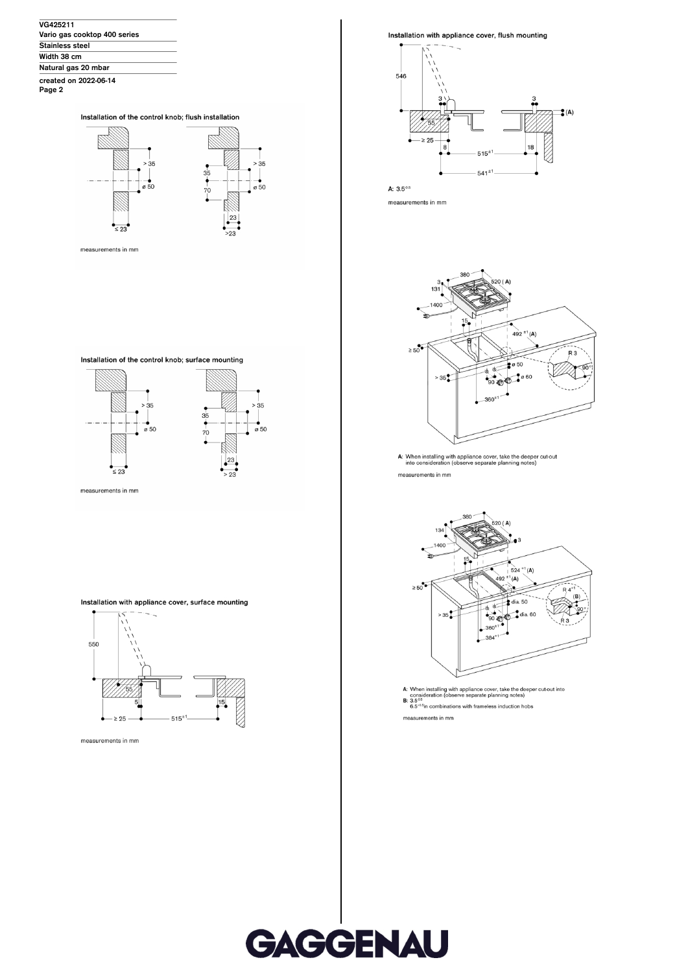| VG425211                     |  |
|------------------------------|--|
| Vario gas cooktop 400 series |  |
| <b>Stainless steel</b>       |  |
| Width 38 cm                  |  |
| Natural gas 20 mbar          |  |
| created on 2022-06-14        |  |

Page 2

### Installation of the control knob; flush installation



measurements in mm

Installation of the control knob; surface mounting



Installation with appliance cover, surface mounting



measurements in mm

Installation with appliance cover, flush mounting



A:  $3.5^{0.5}$ 

measurements in mm



A: When installing with appliance cover, take the deeper cut-out<br>into consideration (observe separate planning notes) measurements in mm



measurements in mm